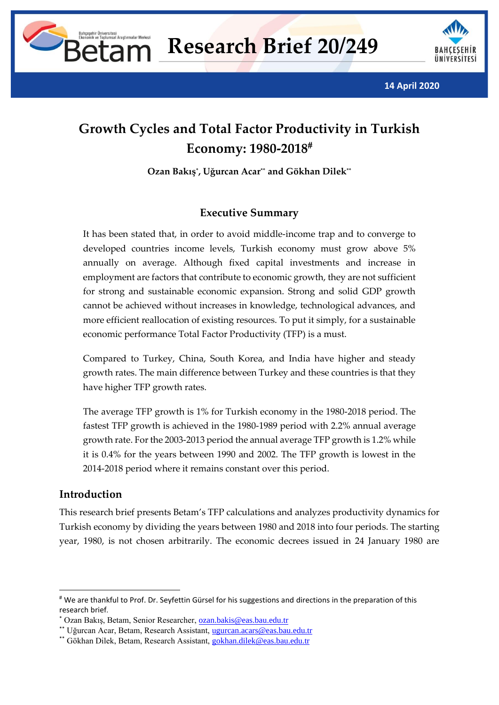



**14 April 2020**

# **Growth Cycles and Total Factor Productivity in Turkish Economy: 1980-2018**

**Ozan Bakış\* , Uğurcan Acar\*\* and Gökhan Dilek\*\***

### **Executive Summary**

It has been stated that, in order to avoid middle-income trap and to converge to developed countries income levels, Turkish economy must grow above 5% annually on average. Although fixed capital investments and increase in employment are factors that contribute to economic growth, they are not sufficient for strong and sustainable economic expansion. Strong and solid GDP growth cannot be achieved without increases in knowledge, technological advances, and more efficient reallocation of existing resources. To put it simply, for a sustainable economic performance Total Factor Productivity (TFP) is a must.

Compared to Turkey, China, South Korea, and India have higher and steady growth rates. The main difference between Turkey and these countries is that they have higher TFP growth rates.

The average TFP growth is 1% for Turkish economy in the 1980-2018 period. The fastest TFP growth is achieved in the 1980-1989 period with 2.2% annual average growth rate. For the 2003-2013 period the annual average TFP growth is 1.2% while it is 0.4% for the years between 1990 and 2002. The TFP growth is lowest in the 2014-2018 period where it remains constant over this period.

#### **Introduction**

This research brief presents Betam's TFP calculations and analyzes productivity dynamics for Turkish economy by dividing the years between 1980 and 2018 into four periods. The starting year, 1980, is not chosen arbitrarily. The economic decrees issued in 24 January 1980 are

<sup>#</sup> We are thankful to Prof. Dr. Seyfettin Gürsel for his suggestions and directions in the preparation of this research brief.

<sup>\*</sup> Ozan Bakış, Betam, Senior Researcher, [ozan.bakis@eas.bau.edu.tr](mailto:ozan.bakis@eas.bau.edu.tr)

<sup>\*\*</sup> Uğurcan Acar, Betam, Research Assistant, [ugurcan.acars@eas.bau.edu.tr](mailto:ugurcan.acars@eas.bau.edu.tr)

<sup>\*\*</sup> Gökhan Dilek, Betam, Research Assistant, [gokhan.dilek@eas.bau.edu.tr](mailto:gokhan.dilek@eas.bau.edu.tr)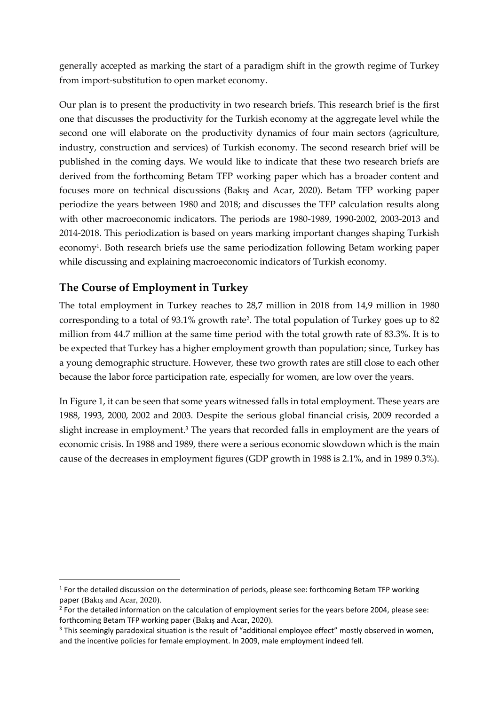generally accepted as marking the start of a paradigm shift in the growth regime of Turkey from import-substitution to open market economy.

Our plan is to present the productivity in two research briefs. This research brief is the first one that discusses the productivity for the Turkish economy at the aggregate level while the second one will elaborate on the productivity dynamics of four main sectors (agriculture, industry, construction and services) of Turkish economy. The second research brief will be published in the coming days. We would like to indicate that these two research briefs are derived from the forthcoming Betam TFP working paper which has a broader content and focuses more on technical discussions (Bakış and Acar, 2020). Betam TFP working paper periodize the years between 1980 and 2018; and discusses the TFP calculation results along with other macroeconomic indicators. The periods are 1980-1989, 1990-2002, 2003-2013 and 2014-2018. This periodization is based on years marking important changes shaping Turkish economy<sup>1</sup>. Both research briefs use the same periodization following Betam working paper while discussing and explaining macroeconomic indicators of Turkish economy.

## **The Course of Employment in Turkey**

The total employment in Turkey reaches to 28,7 million in 2018 from 14,9 million in 1980 corresponding to a total of 93.1% growth rate<sup>2</sup> . The total population of Turkey goes up to 82 million from 44.7 million at the same time period with the total growth rate of 83.3%. It is to be expected that Turkey has a higher employment growth than population; since, Turkey has a young demographic structure. However, these two growth rates are still close to each other because the labor force participation rate, especially for women, are low over the years.

In Figure 1, it can be seen that some years witnessed falls in total employment. These years are 1988, 1993, 2000, 2002 and 2003. Despite the serious global financial crisis, 2009 recorded a slight increase in employment.<sup>3</sup> The years that recorded falls in employment are the years of economic crisis. In 1988 and 1989, there were a serious economic slowdown which is the main cause of the decreases in employment figures (GDP growth in 1988 is 2.1%, and in 1989 0.3%).

<sup>&</sup>lt;sup>1</sup> For the detailed discussion on the determination of periods, please see: forthcoming Betam TFP working paper (Bakış and Acar, 2020).

<sup>&</sup>lt;sup>2</sup> For the detailed information on the calculation of employment series for the years before 2004, please see: forthcoming Betam TFP working paper (Bakış and Acar, 2020).

<sup>&</sup>lt;sup>3</sup> This seemingly paradoxical situation is the result of "additional employee effect" mostly observed in women, and the incentive policies for female employment. In 2009, male employment indeed fell.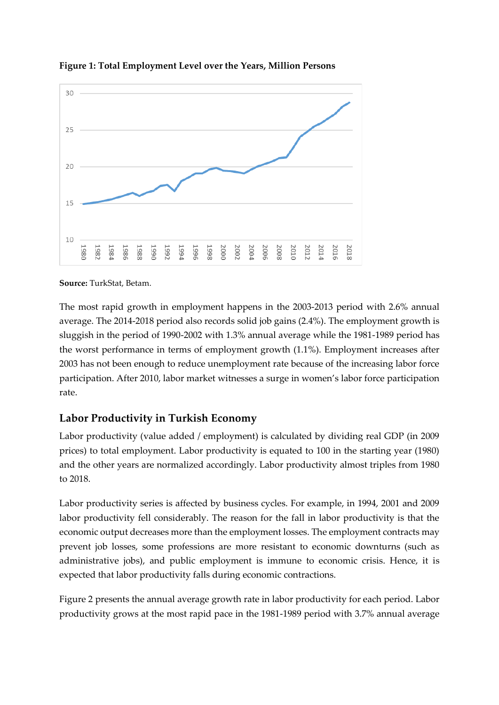

**Figure 1: Total Employment Level over the Years, Million Persons**

**Source:** TurkStat, Betam.

The most rapid growth in employment happens in the 2003-2013 period with 2.6% annual average. The 2014-2018 period also records solid job gains (2.4%). The employment growth is sluggish in the period of 1990-2002 with 1.3% annual average while the 1981-1989 period has the worst performance in terms of employment growth (1.1%). Employment increases after 2003 has not been enough to reduce unemployment rate because of the increasing labor force participation. After 2010, labor market witnesses a surge in women's labor force participation rate.

#### **Labor Productivity in Turkish Economy**

Labor productivity (value added / employment) is calculated by dividing real GDP (in 2009 prices) to total employment. Labor productivity is equated to 100 in the starting year (1980) and the other years are normalized accordingly. Labor productivity almost triples from 1980 to 2018.

Labor productivity series is affected by business cycles. For example, in 1994, 2001 and 2009 labor productivity fell considerably. The reason for the fall in labor productivity is that the economic output decreases more than the employment losses. The employment contracts may prevent job losses, some professions are more resistant to economic downturns (such as administrative jobs), and public employment is immune to economic crisis. Hence, it is expected that labor productivity falls during economic contractions.

Figure 2 presents the annual average growth rate in labor productivity for each period. Labor productivity grows at the most rapid pace in the 1981-1989 period with 3.7% annual average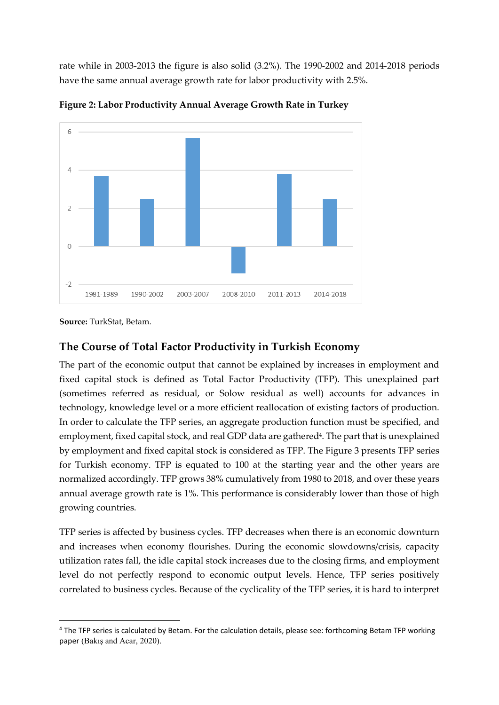rate while in 2003-2013 the figure is also solid (3.2%). The 1990-2002 and 2014-2018 periods have the same annual average growth rate for labor productivity with 2.5%.



**Figure 2: Labor Productivity Annual Average Growth Rate in Turkey**

**Source:** TurkStat, Betam.

#### **The Course of Total Factor Productivity in Turkish Economy**

The part of the economic output that cannot be explained by increases in employment and fixed capital stock is defined as Total Factor Productivity (TFP). This unexplained part (sometimes referred as residual, or Solow residual as well) accounts for advances in technology, knowledge level or a more efficient reallocation of existing factors of production. In order to calculate the TFP series, an aggregate production function must be specified, and employment, fixed capital stock, and real GDP data are gathered<sup>4</sup>. The part that is unexplained by employment and fixed capital stock is considered as TFP. The Figure 3 presents TFP series for Turkish economy. TFP is equated to 100 at the starting year and the other years are normalized accordingly. TFP grows 38% cumulatively from 1980 to 2018, and over these years annual average growth rate is 1%. This performance is considerably lower than those of high growing countries.

TFP series is affected by business cycles. TFP decreases when there is an economic downturn and increases when economy flourishes. During the economic slowdowns/crisis, capacity utilization rates fall, the idle capital stock increases due to the closing firms, and employment level do not perfectly respond to economic output levels. Hence, TFP series positively correlated to business cycles. Because of the cyclicality of the TFP series, it is hard to interpret

<sup>4</sup> The TFP series is calculated by Betam. For the calculation details, please see: forthcoming Betam TFP working paper (Bakış and Acar, 2020).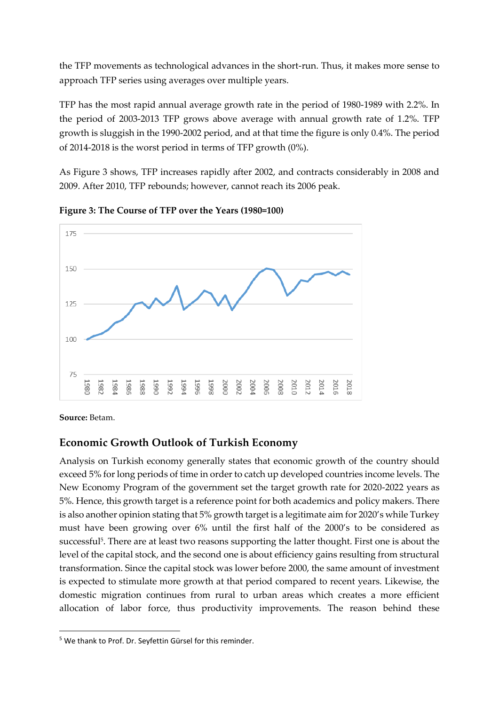the TFP movements as technological advances in the short-run. Thus, it makes more sense to approach TFP series using averages over multiple years.

TFP has the most rapid annual average growth rate in the period of 1980-1989 with 2.2%. In the period of 2003-2013 TFP grows above average with annual growth rate of 1.2%. TFP growth is sluggish in the 1990-2002 period, and at that time the figure is only 0.4%. The period of 2014-2018 is the worst period in terms of TFP growth (0%).

As Figure 3 shows, TFP increases rapidly after 2002, and contracts considerably in 2008 and 2009. After 2010, TFP rebounds; however, cannot reach its 2006 peak.



**Figure 3: The Course of TFP over the Years (1980=100)**

**Source:** Betam.

#### **Economic Growth Outlook of Turkish Economy**

Analysis on Turkish economy generally states that economic growth of the country should exceed 5% for long periods of time in order to catch up developed countries income levels. The New Economy Program of the government set the target growth rate for 2020-2022 years as 5%. Hence, this growth target is a reference point for both academics and policy makers. There is also another opinion stating that 5% growth target is a legitimate aim for 2020's while Turkey must have been growing over 6% until the first half of the 2000's to be considered as successful<sup>5</sup>. There are at least two reasons supporting the latter thought. First one is about the level of the capital stock, and the second one is about efficiency gains resulting from structural transformation. Since the capital stock was lower before 2000, the same amount of investment is expected to stimulate more growth at that period compared to recent years. Likewise, the domestic migration continues from rural to urban areas which creates a more efficient allocation of labor force, thus productivity improvements. The reason behind these

<sup>&</sup>lt;sup>5</sup> We thank to Prof. Dr. Seyfettin Gürsel for this reminder.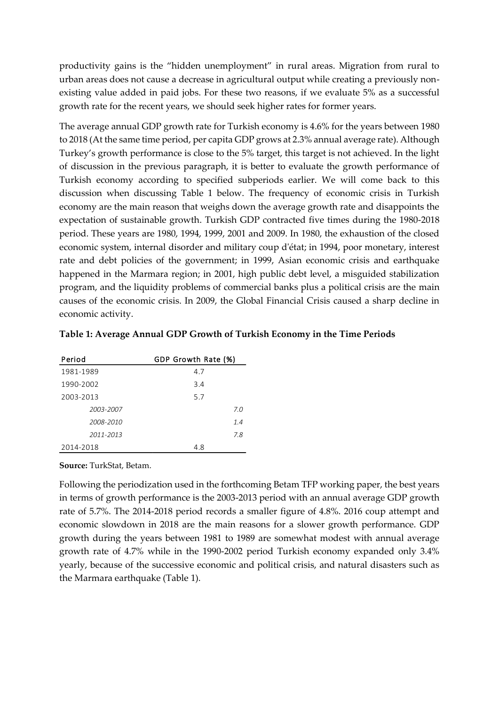productivity gains is the "hidden unemployment" in rural areas. Migration from rural to urban areas does not cause a decrease in agricultural output while creating a previously nonexisting value added in paid jobs. For these two reasons, if we evaluate 5% as a successful growth rate for the recent years, we should seek higher rates for former years.

The average annual GDP growth rate for Turkish economy is 4.6% for the years between 1980 to 2018 (At the same time period, per capita GDP grows at 2.3% annual average rate). Although Turkey's growth performance is close to the 5% target, this target is not achieved. In the light of discussion in the previous paragraph, it is better to evaluate the growth performance of Turkish economy according to specified subperiods earlier. We will come back to this discussion when discussing Table 1 below. The frequency of economic crisis in Turkish economy are the main reason that weighs down the average growth rate and disappoints the expectation of sustainable growth. Turkish GDP contracted five times during the 1980-2018 period. These years are 1980, 1994, 1999, 2001 and 2009. In 1980, the exhaustion of the closed economic system, internal disorder and military coup d'état; in 1994, poor monetary, interest rate and debt policies of the government; in 1999, Asian economic crisis and earthquake happened in the Marmara region; in 2001, high public debt level, a misguided stabilization program, and the liquidity problems of commercial banks plus a political crisis are the main causes of the economic crisis. In 2009, the Global Financial Crisis caused a sharp decline in economic activity.

| Period    | GDP Growth Rate (%) |
|-----------|---------------------|
| 1981-1989 | 4.7                 |
| 1990-2002 | 3.4                 |
| 2003-2013 | 5.7                 |
| 2003-2007 | 7.0                 |
| 2008-2010 | 1.4                 |
| 2011-2013 | 7.8                 |
| 2014-2018 | 4.8                 |

| Table 1: Average Annual GDP Growth of Turkish Economy in the Time Periods |  |
|---------------------------------------------------------------------------|--|
|                                                                           |  |

**Source:** TurkStat, Betam.

Following the periodization used in the forthcoming Betam TFP working paper, the best years in terms of growth performance is the 2003-2013 period with an annual average GDP growth rate of 5.7%. The 2014-2018 period records a smaller figure of 4.8%. 2016 coup attempt and economic slowdown in 2018 are the main reasons for a slower growth performance. GDP growth during the years between 1981 to 1989 are somewhat modest with annual average growth rate of 4.7% while in the 1990-2002 period Turkish economy expanded only 3.4% yearly, because of the successive economic and political crisis, and natural disasters such as the Marmara earthquake (Table 1).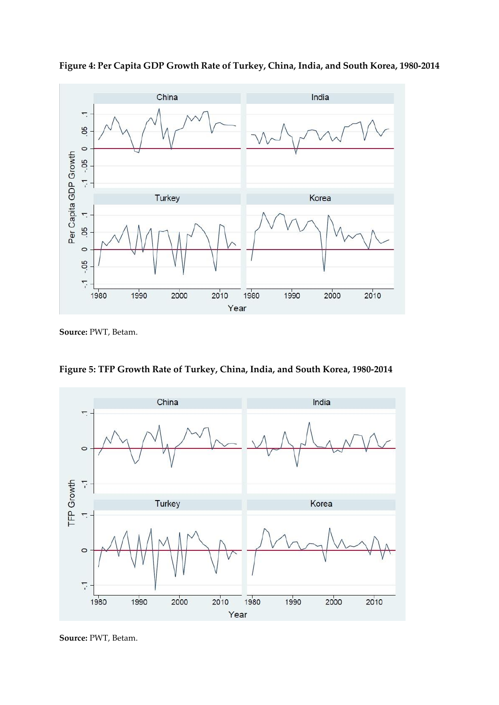

**Figure 4: Per Capita GDP Growth Rate of Turkey, China, India, and South Korea, 1980-2014**

**Source:** PWT, Betam.

**Figure 5: TFP Growth Rate of Turkey, China, India, and South Korea, 1980-2014**



**Source:** PWT, Betam.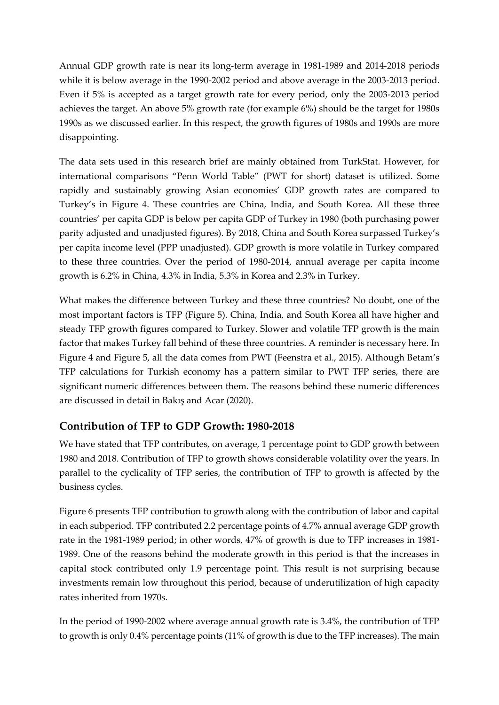Annual GDP growth rate is near its long-term average in 1981-1989 and 2014-2018 periods while it is below average in the 1990-2002 period and above average in the 2003-2013 period. Even if 5% is accepted as a target growth rate for every period, only the 2003-2013 period achieves the target. An above 5% growth rate (for example 6%) should be the target for 1980s 1990s as we discussed earlier. In this respect, the growth figures of 1980s and 1990s are more disappointing.

The data sets used in this research brief are mainly obtained from TurkStat. However, for international comparisons "Penn World Table" (PWT for short) dataset is utilized. Some rapidly and sustainably growing Asian economies' GDP growth rates are compared to Turkey's in Figure 4. These countries are China, India, and South Korea. All these three countries' per capita GDP is below per capita GDP of Turkey in 1980 (both purchasing power parity adjusted and unadjusted figures). By 2018, China and South Korea surpassed Turkey's per capita income level (PPP unadjusted). GDP growth is more volatile in Turkey compared to these three countries. Over the period of 1980-2014, annual average per capita income growth is 6.2% in China, 4.3% in India, 5.3% in Korea and 2.3% in Turkey.

What makes the difference between Turkey and these three countries? No doubt, one of the most important factors is TFP (Figure 5). China, India, and South Korea all have higher and steady TFP growth figures compared to Turkey. Slower and volatile TFP growth is the main factor that makes Turkey fall behind of these three countries. A reminder is necessary here. In Figure 4 and Figure 5, all the data comes from PWT (Feenstra et al., 2015). Although Betam's TFP calculations for Turkish economy has a pattern similar to PWT TFP series, there are significant numeric differences between them. The reasons behind these numeric differences are discussed in detail in Bakış and Acar (2020).

#### **Contribution of TFP to GDP Growth: 1980-2018**

We have stated that TFP contributes, on average, 1 percentage point to GDP growth between 1980 and 2018. Contribution of TFP to growth shows considerable volatility over the years. In parallel to the cyclicality of TFP series, the contribution of TFP to growth is affected by the business cycles.

Figure 6 presents TFP contribution to growth along with the contribution of labor and capital in each subperiod. TFP contributed 2.2 percentage points of 4.7% annual average GDP growth rate in the 1981-1989 period; in other words, 47% of growth is due to TFP increases in 1981- 1989. One of the reasons behind the moderate growth in this period is that the increases in capital stock contributed only 1.9 percentage point. This result is not surprising because investments remain low throughout this period, because of underutilization of high capacity rates inherited from 1970s.

In the period of 1990-2002 where average annual growth rate is 3.4%, the contribution of TFP to growth is only 0.4% percentage points (11% of growth is due to the TFP increases). The main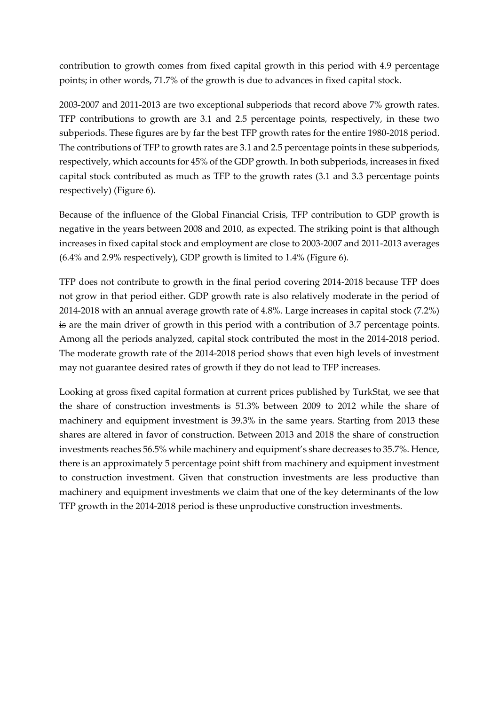contribution to growth comes from fixed capital growth in this period with 4.9 percentage points; in other words, 71.7% of the growth is due to advances in fixed capital stock.

2003-2007 and 2011-2013 are two exceptional subperiods that record above 7% growth rates. TFP contributions to growth are 3.1 and 2.5 percentage points, respectively, in these two subperiods. These figures are by far the best TFP growth rates for the entire 1980-2018 period. The contributions of TFP to growth rates are 3.1 and 2.5 percentage points in these subperiods, respectively, which accounts for 45% of the GDP growth. In both subperiods, increases in fixed capital stock contributed as much as TFP to the growth rates (3.1 and 3.3 percentage points respectively) (Figure 6).

Because of the influence of the Global Financial Crisis, TFP contribution to GDP growth is negative in the years between 2008 and 2010, as expected. The striking point is that although increases in fixed capital stock and employment are close to 2003-2007 and 2011-2013 averages (6.4% and 2.9% respectively), GDP growth is limited to 1.4% (Figure 6).

TFP does not contribute to growth in the final period covering 2014-2018 because TFP does not grow in that period either. GDP growth rate is also relatively moderate in the period of 2014-2018 with an annual average growth rate of 4.8%. Large increases in capital stock (7.2%) is are the main driver of growth in this period with a contribution of 3.7 percentage points. Among all the periods analyzed, capital stock contributed the most in the 2014-2018 period. The moderate growth rate of the 2014-2018 period shows that even high levels of investment may not guarantee desired rates of growth if they do not lead to TFP increases.

Looking at gross fixed capital formation at current prices published by TurkStat, we see that the share of construction investments is 51.3% between 2009 to 2012 while the share of machinery and equipment investment is 39.3% in the same years. Starting from 2013 these shares are altered in favor of construction. Between 2013 and 2018 the share of construction investments reaches 56.5% while machinery and equipment's share decreases to 35.7%. Hence, there is an approximately 5 percentage point shift from machinery and equipment investment to construction investment. Given that construction investments are less productive than machinery and equipment investments we claim that one of the key determinants of the low TFP growth in the 2014-2018 period is these unproductive construction investments.